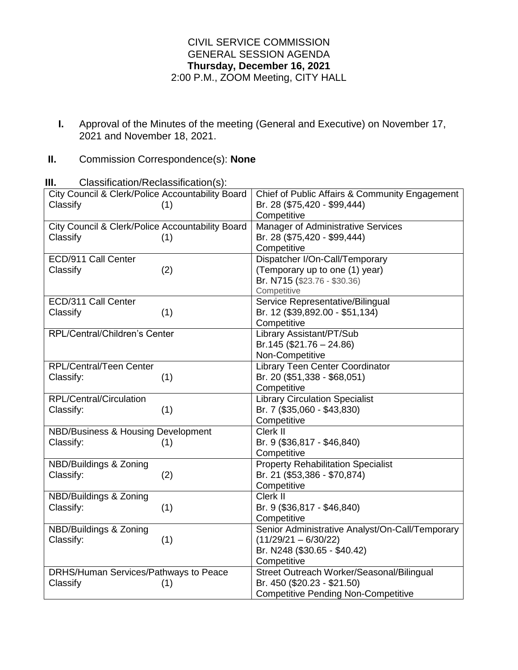## CIVIL SERVICE COMMISSION GENERAL SESSION AGENDA **Thursday, December 16, 2021** 2:00 P.M., ZOOM Meeting, CITY HALL

**I.** Approval of the Minutes of the meeting (General and Executive) on November 17, 2021 and November 18, 2021.

## **II.** Commission Correspondence(s): **None**

**III.** Classification/Reclassification(s):

| City Council & Clerk/Police Accountability Board | Chief of Public Affairs & Community Engagement  |
|--------------------------------------------------|-------------------------------------------------|
| Classify<br>(1)                                  | Br. 28 (\$75,420 - \$99,444)                    |
|                                                  | Competitive                                     |
| City Council & Clerk/Police Accountability Board | Manager of Administrative Services              |
| Classify<br>(1)                                  | Br. 28 (\$75,420 - \$99,444)                    |
|                                                  | Competitive                                     |
| ECD/911 Call Center                              | Dispatcher I/On-Call/Temporary                  |
| Classify<br>(2)                                  | (Temporary up to one (1) year)                  |
|                                                  | Br. N715 (\$23.76 - \$30.36)                    |
|                                                  | Competitive                                     |
| ECD/311 Call Center                              | Service Representative/Bilingual                |
| Classify<br>(1)                                  | Br. 12 (\$39,892.00 - \$51,134)                 |
|                                                  | Competitive                                     |
| <b>RPL/Central/Children's Center</b>             | Library Assistant/PT/Sub                        |
|                                                  | $Br.145$ (\$21.76 - 24.86)                      |
|                                                  | Non-Competitive                                 |
| RPL/Central/Teen Center                          | <b>Library Teen Center Coordinator</b>          |
| Classify:<br>(1)                                 | Br. 20 (\$51,338 - \$68,051)                    |
|                                                  | Competitive                                     |
| RPL/Central/Circulation                          | <b>Library Circulation Specialist</b>           |
| (1)<br>Classify:                                 | Br. 7 (\$35,060 - \$43,830)                     |
|                                                  | Competitive                                     |
| NBD/Business & Housing Development               | Clerk II                                        |
| Classify:<br>(1)                                 | Br. 9 (\$36,817 - \$46,840)                     |
|                                                  | Competitive                                     |
| NBD/Buildings & Zoning                           | <b>Property Rehabilitation Specialist</b>       |
| Classify:<br>(2)                                 | Br. 21 (\$53,386 - \$70,874)                    |
|                                                  | Competitive                                     |
| NBD/Buildings & Zoning                           | Clerk II                                        |
| Classify:<br>(1)                                 | Br. 9 (\$36,817 - \$46,840)                     |
|                                                  | Competitive                                     |
| NBD/Buildings & Zoning                           | Senior Administrative Analyst/On-Call/Temporary |
| Classify:<br>(1)                                 | $(11/29/21 - 6/30/22)$                          |
|                                                  | Br. N248 (\$30.65 - \$40.42)                    |
|                                                  | Competitive                                     |
| DRHS/Human Services/Pathways to Peace            | Street Outreach Worker/Seasonal/Bilingual       |
| Classify<br>(1)                                  | Br. 450 (\$20.23 - \$21.50)                     |
|                                                  | <b>Competitive Pending Non-Competitive</b>      |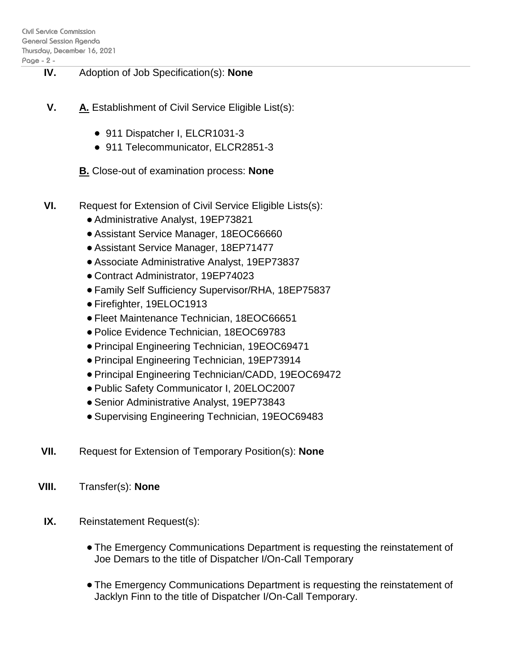- **IV.** Adoption of Job Specification(s): **None**
- **V. A.** Establishment of Civil Service Eligible List(s):
	- 911 Dispatcher I, ELCR1031-3
	- 911 Telecommunicator, ELCR2851-3
	- **B.** Close-out of examination process: **None**
- **VI.** Request for Extension of Civil Service Eligible Lists(s):
	- Administrative Analyst, 19EP73821
	- Assistant Service Manager, 18EOC66660
	- Assistant Service Manager, 18EP71477
	- Associate Administrative Analyst, 19EP73837
	- Contract Administrator, 19EP74023
	- Family Self Sufficiency Supervisor/RHA, 18EP75837
	- Firefighter, 19ELOC1913
	- Fleet Maintenance Technician, 18EOC66651
	- Police Evidence Technician, 18EOC69783
	- Principal Engineering Technician, 19EOC69471
	- Principal Engineering Technician, 19EP73914
	- Principal Engineering Technician/CADD, 19EOC69472
	- Public Safety Communicator I, 20ELOC2007
	- Senior Administrative Analyst, 19EP73843
	- Supervising Engineering Technician, 19EOC69483
- **VII.** Request for Extension of Temporary Position(s): **None**
- **VIII.** Transfer(s): **None**
- **IX.** Reinstatement Request(s):
	- The Emergency Communications Department is requesting the reinstatement of Joe Demars to the title of Dispatcher I/On-Call Temporary
	- The Emergency Communications Department is requesting the reinstatement of Jacklyn Finn to the title of Dispatcher I/On-Call Temporary.